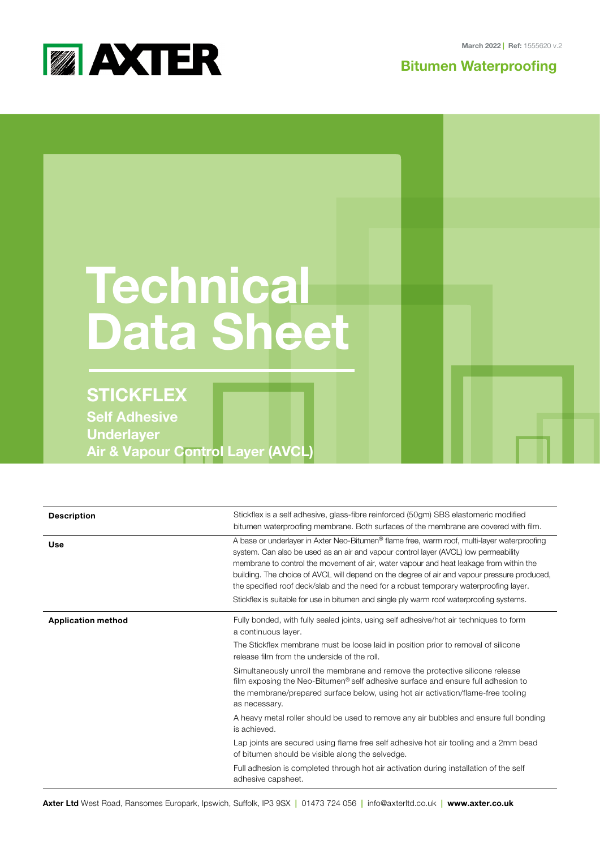

**Bitumen Waterproofing**



| <b>Technical</b><br><b>Data Sheet</b>                                                     |  |
|-------------------------------------------------------------------------------------------|--|
| <b>STICKFLEX</b>                                                                          |  |
| <b>Self Adhesive</b><br><b>Underlayer</b><br><b>Air &amp; Vapour Control Layer (AVCL)</b> |  |

| <b>Description</b>        | Stickflex is a self adhesive, glass-fibre reinforced (50gm) SBS elastomeric modified                                                                                                                                                                                                                                                                                                                                                                                                                                                                                                                                                                                 |
|---------------------------|----------------------------------------------------------------------------------------------------------------------------------------------------------------------------------------------------------------------------------------------------------------------------------------------------------------------------------------------------------------------------------------------------------------------------------------------------------------------------------------------------------------------------------------------------------------------------------------------------------------------------------------------------------------------|
| Use                       | bitumen waterproofing membrane. Both surfaces of the membrane are covered with film.<br>A base or underlayer in Axter Neo-Bitumen <sup>®</sup> flame free, warm roof, multi-layer waterproofing<br>system. Can also be used as an air and vapour control layer (AVCL) low permeability<br>membrane to control the movement of air, water vapour and heat leakage from within the<br>building. The choice of AVCL will depend on the degree of air and vapour pressure produced,<br>the specified roof deck/slab and the need for a robust temporary waterproofing layer.<br>Stickflex is suitable for use in bitumen and single ply warm roof waterproofing systems. |
| <b>Application method</b> | Fully bonded, with fully sealed joints, using self adhesive/hot air techniques to form<br>a continuous layer.<br>The Stickflex membrane must be loose laid in position prior to removal of silicone<br>release film from the underside of the roll.                                                                                                                                                                                                                                                                                                                                                                                                                  |
|                           | Simultaneously unroll the membrane and remove the protective silicone release<br>film exposing the Neo-Bitumen <sup>®</sup> self adhesive surface and ensure full adhesion to<br>the membrane/prepared surface below, using hot air activation/flame-free tooling<br>as necessary.                                                                                                                                                                                                                                                                                                                                                                                   |
|                           | A heavy metal roller should be used to remove any air bubbles and ensure full bonding<br>is achieved.                                                                                                                                                                                                                                                                                                                                                                                                                                                                                                                                                                |
|                           | Lap joints are secured using flame free self adhesive hot air tooling and a 2mm bead<br>of bitumen should be visible along the selvedge.                                                                                                                                                                                                                                                                                                                                                                                                                                                                                                                             |
|                           | Full adhesion is completed through hot air activation during installation of the self<br>adhesive capsheet.                                                                                                                                                                                                                                                                                                                                                                                                                                                                                                                                                          |

**Axter Ltd** West Road, Ransomes Europark, Ipswich, Suffolk, IP3 9SX **|** 01473 724 056 **|** info@axterltd.co.uk **| www.axter.co.uk**